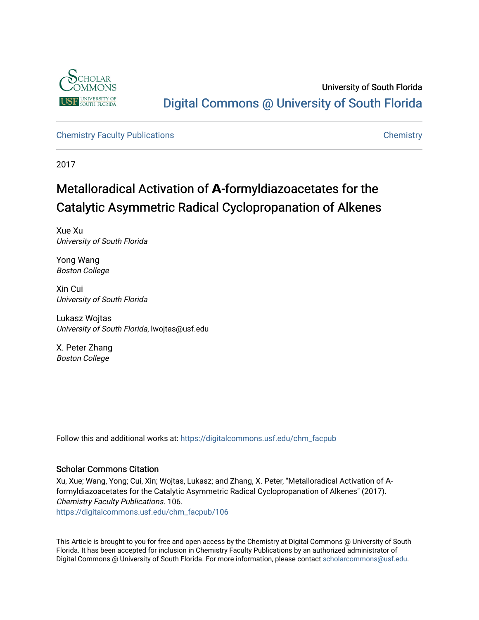

University of South Florida [Digital Commons @ University of South Florida](https://digitalcommons.usf.edu/) 

[Chemistry Faculty Publications](https://digitalcommons.usf.edu/chm_facpub) **Chemistry** Chemistry

2017

# Metallor adical Activation of **A**-formyldiazoacetates for the Catalytic Asymmetric Radical Cyclopropanation of Alkenes

Xue Xu University of South Florida

Yong Wang Boston College

Xin Cui University of South Florida

Lukasz Wojtas University of South Florida, lwojtas@usf.edu

X. Peter Zhang Boston College

Follow this and additional works at: [https://digitalcommons.usf.edu/chm\\_facpub](https://digitalcommons.usf.edu/chm_facpub?utm_source=digitalcommons.usf.edu%2Fchm_facpub%2F106&utm_medium=PDF&utm_campaign=PDFCoverPages)

#### Scholar Commons Citation

Xu, Xue; Wang, Yong; Cui, Xin; Wojtas, Lukasz; and Zhang, X. Peter, "Metalloradical Activation of Αformyldiazoacetates for the Catalytic Asymmetric Radical Cyclopropanation of Alkenes" (2017). Chemistry Faculty Publications. 106. [https://digitalcommons.usf.edu/chm\\_facpub/106](https://digitalcommons.usf.edu/chm_facpub/106?utm_source=digitalcommons.usf.edu%2Fchm_facpub%2F106&utm_medium=PDF&utm_campaign=PDFCoverPages)

Digital Commons @ University of South Florida. For more information, please contact [scholarcommons@usf.edu.](mailto:scholarcommons@usf.edu)

This Article is brought to you for free and open access by the Chemistry at Digital Commons @ University of South Florida. It has been accepted for inclusion in Chemistry Faculty Publications by an authorized administrator of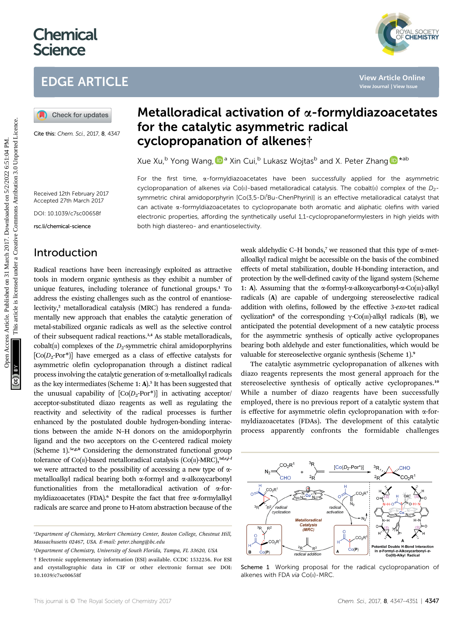# **Chemical Science**

# EDGE ARTICLE

Cite this: Chem. Sci., 2017, 8, 4347

# Metalloradical activation of  $\alpha$ -formyldiazoacetates for the catalytic asymmetric radical cyclopropanation of alkenes†

Xue Xu[,](http://orcid.org/0000-0003-0532-3530)<sup>b</sup> Yong Wang, <sup>D</sup><sup>a</sup> Xin Cui,<sup>b</sup> Lukasz Wojtas<sup>b</sup> and X. Peter Zhang <sup>D\*ab</sup>

 $N_{\odot}$ 

For the first time,  $\alpha$ -formyldiazoacetates have been successfully applied for the asymmetric cyclopropanation of alkenes via Co(II)-based metalloradical catalysis. The cobalt(III) complex of the  $D_2$ symmetric chiral amidoporphyrin [Co(3,5-Di<sup>t</sup>Bu-ChenPhyrin)] is an effective metalloradical catalyst that can activate  $\alpha$ -formyldiazoacetates to cyclopropanate both aromatic and aliphatic olefins with varied electronic properties, affording the synthetically useful 1,1-cyclopropaneformylesters in high yields with both high diastereo- and enantioselectivity.

Received 12th February 2017 Accepted 27th March 2017

DOI: 10.1039/c7sc00658f

rsc.li/chemical-science

### Introduction

Radical reactions have been increasingly exploited as attractive tools in modern organic synthesis as they exhibit a number of unique features, including tolerance of functional groups.<sup>1</sup> To address the existing challenges such as the control of enantioselectivity,<sup>2</sup> metalloradical catalysis (MRC) has rendered a fundamentally new approach that enables the catalytic generation of metal-stabilized organic radicals as well as the selective control of their subsequent radical reactions.<sup>3,4</sup> As stable metalloradicals, cobalt $\left(\Pi\right)$  complexes of the  $D_2$ -symmetric chiral amidoporphyrins  $[Co(D<sub>2</sub>-Por<sup>*</sup>)]$  have emerged as a class of effective catalysts for asymmetric olefin cyclopropanation through a distinct radical process involving the catalytic generation of a-metalloalkyl radicals as the key intermediates (Scheme 1: A).<sup>5</sup> It has been suggested that the unusual capability of  $[Co(D<sub>2</sub>-Por<sup>*</sup>)]$  in activating acceptor/ acceptor-substituted diazo reagents as well as regulating the reactivity and selectivity of the radical processes is further enhanced by the postulated double hydrogen-bonding interactions between the amide N–H donors on the amidoporphyrin ligand and the two acceptors on the C-centered radical moiety (Scheme 1).<sup>5e,g,h</sup> Considering the demonstrated functional group tolerance of Co( $\pi$ )-based metalloradical catalysis (Co( $\pi$ )-MRC),<sup>5d,e,j-1</sup> we were attracted to the possibility of accessing a new type of ametalloalkyl radical bearing both  $\alpha$ -formyl and  $\alpha$ -alkoxycarbonyl functionalities from the metalloradical activation of a-formyldiazoacetates (FDA).<sup>6</sup> Despite the fact that free  $\alpha$ -formylalkyl radicals are scarce and prone to H-atom abstraction because of the

b Department of Chemistry, University of South Florida, Tampa, FL 33620, USA

† Electronic supplementary information (ESI) available. CCDC 1532256. For ESI and crystallographic data in CIF or other electronic format see DOI: 10.1039/c7sc00658f

weak aldehydic C–H bonds,<sup>7</sup> we reasoned that this type of  $\alpha$ -metalloalkyl radical might be accessible on the basis of the combined effects of metal stabilization, double H-bonding interaction, and protection by the well-defined cavity of the ligand system (Scheme 1: A). Assuming that the  $\alpha$ -formyl- $\alpha$ -alkoxycarbonyl- $\alpha$ -Co(m)-alkyl radicals (A) are capable of undergoing stereoselective radical addition with olefins, followed by the effective 3-exo-tet radical cyclization<sup>8</sup> of the corresponding  $\gamma$ -Co( $\text{m}$ )-alkyl radicals (**B**), we anticipated the potential development of a new catalytic process for the asymmetric synthesis of optically active cyclopropanes bearing both aldehyde and ester functionalities, which would be valuable for stereoselective organic synthesis (Scheme 1).<sup>9</sup> **EDGE ARTICLE**<br> **(a)** Check for unders **Metalloradical activation of**  $\alpha$ **-formyldiazoaccetat**<br> **(a)** Check for unders **for the catalytic asymmetric radical**<br>
Cone is cone as: 2018 and 2018 **Cyclopropanation of alkenes f** 

YAL SOCIETY<br>**CHEMISTRY** 

The catalytic asymmetric cyclopropanation of alkenes with diazo reagents represents the most general approach for the stereoselective synthesis of optically active cyclopropanes.<sup>10</sup> While a number of diazo reagents have been successfully employed, there is no previous report of a catalytic system that is effective for asymmetric olefin cyclopropanation with  $\alpha$ -formyldiazoacetates (FDAs). The development of this catalytic process apparently confronts the formidable challenges



 $[Co(D<sub>2</sub>-Por<sup>*</sup>)]$ 

 ${}^{3}R$ .

CHO<sub>.</sub>

Scheme 1 Working proposal for the radical cyclopropanation of alkenes with FDA via Co(II)-MRC

a Department of Chemistry, Merkert Chemistry Center, Boston College, Chestnut Hill, Massachusetts 02467, USA. E-mail: peter.zhang@bc.edu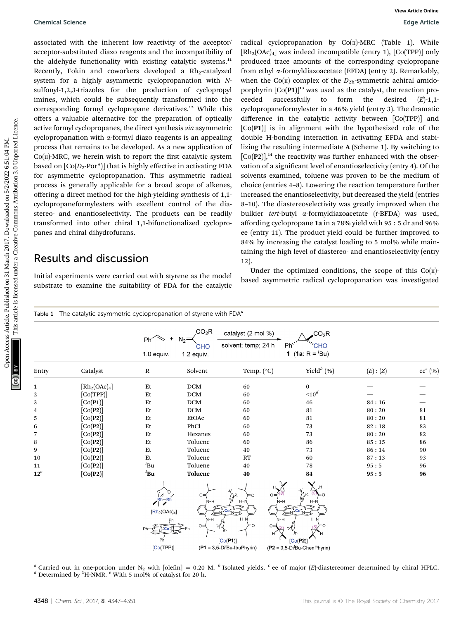associated with the inherent low reactivity of the acceptor/ acceptor-substituted diazo reagents and the incompatibility of the aldehyde functionality with existing catalytic systems.<sup>11</sup> Recently, Fokin and coworkers developed a  $Rh_2$ -catalyzed system for a highly asymmetric cyclopropanation with Nsulfonyl-1,2,3-triazoles for the production of cyclopropyl imines, which could be subsequently transformed into the corresponding formyl cyclopropane derivatives.<sup>12</sup> While this offers a valuable alternative for the preparation of optically active formyl cyclopropanes, the direct synthesis via asymmetric cyclopropanation with  $\alpha$ -formyl diazo reagents is an appealing process that remains to be developed. As a new application of  $Co(n)$ -MRC, we herein wish to report the first catalytic system based on  $[Co(D<sub>2</sub>-Por<sup>*</sup>)]$  that is highly effective in activating FDA for asymmetric cyclopropanation. This asymmetric radical process is generally applicable for a broad scope of alkenes, offering a direct method for the high-yielding synthesis of 1,1 cyclopropaneformylesters with excellent control of the diastereo- and enantioselectivity. The products can be readily transformed into other chiral 1,1-bifunctionalized cyclopropanes and chiral dihydrofurans.

#### Results and discussion

Initial experiments were carried out with styrene as the model substrate to examine the suitability of FDA for the catalytic

radical cyclopropanation by  $Co(n)$ -MRC (Table 1). While  $[Rh_2(OAc)_4]$  was indeed incompatible (entry 1),  $[Co(TPP)]$  only produced trace amounts of the corresponding cyclopropane from ethyl a-formyldiazoacetate (EFDA) (entry 2). Remarkably, when the Co( $\pi$ ) complex of the  $D_{2h}$ -symmetric achiral amidoporphyrin  $[Co(P1)]^{13}$  was used as the catalyst, the reaction proceeded successfully to form the desired  $(E)$ -1,1cyclopropaneformylester in a 46% yield (entry 3). The dramatic difference in the catalytic activity between [Co(TPP)] and [Co(P1)] is in alignment with the hypothesized role of the double H-bonding interaction in activating EFDA and stabilizing the resulting intermediate A (Scheme 1). By switching to  $[Co(P2)]$ ,<sup>14</sup> the reactivity was further enhanced with the observation of a significant level of enantioselectivity (entry 4). Of the solvents examined, toluene was proven to be the medium of choice (entries 4–8). Lowering the reaction temperature further increased the enantioselectivity, but decreased the yield (entries 8–10). The diastereoselectivity was greatly improved when the bulkier tert-butyl a-formyldiazoacetate (t-BFDA) was used, affording cyclopropane 1a in a 78% yield with 95 : 5 dr and 96% ee (entry 11). The product yield could be further improved to 84% by increasing the catalyst loading to 5 mol% while maintaining the high level of diastereo- and enantioselectivity (entry 12). Openical Science<br>
associated online inherina the more acceptor and the more proportion by  $[0,0,0,0]$  are noted to competent on the more and the more and the more and the more and the more and the more and the more and th

Under the optimized conditions, the scope of this  $Co(\Pi)$ based asymmetric radical cyclopropanation was investigated

|              |                             | Ph <sup>2</sup><br>1.0 equiv.                                       | CO <sub>2</sub> R<br>CHO<br>$1.2$ equiv. | catalyst (2 mol %)<br>solvent; temp; 24 h                                                           | ,CO $_2$ R<br>Ph'<br>CHO<br>1 (1a: R = ${}^t$ Bu)                                                                     |        |             |
|--------------|-----------------------------|---------------------------------------------------------------------|------------------------------------------|-----------------------------------------------------------------------------------------------------|-----------------------------------------------------------------------------------------------------------------------|--------|-------------|
| Entry        | Catalyst                    | ${\bf R}$                                                           | Solvent                                  | Temp. (°C)                                                                                          | Yield $^{b}$ (%)                                                                                                      | (E):Z) | ee $^c$ (%) |
| 1            | $[Rh_2(OAc)_4]$             | Et                                                                  | DCM                                      | 60                                                                                                  | $\bf{0}$                                                                                                              |        |             |
| $\mathbf{2}$ | [Co(TPP)]                   | Et                                                                  | DCM                                      | 60                                                                                                  | 10 <sup>d</sup>                                                                                                       |        |             |
| 3            | [Co(P1)]                    | Et                                                                  | DCM                                      | 60                                                                                                  | 46                                                                                                                    | 84:16  |             |
| 4            | [Co(P2)]                    | Et                                                                  | DCM                                      | 60                                                                                                  | 81                                                                                                                    | 80:20  | 81          |
| 5            | [Co(P2)]                    | Et                                                                  | EtOAc                                    | 60                                                                                                  | 81                                                                                                                    | 80:20  | 81          |
| 6            | [Co(P2)]                    | Et                                                                  | PhCl                                     | 60                                                                                                  | 73                                                                                                                    | 82:18  | 83          |
| 7            | [Co(P2)]                    | Et                                                                  | Hexanes                                  | 60                                                                                                  | 73                                                                                                                    | 80:20  | 82          |
| 8            | [Co(P2)]                    | Et                                                                  | Toluene                                  | 60                                                                                                  | 86                                                                                                                    | 85:15  | 86          |
| 9            | [Co(P2)]                    | Et                                                                  | Toluene                                  | 40                                                                                                  | 73                                                                                                                    | 86:14  | 90          |
| 10           | [Co(P2)]                    | Et                                                                  | Toluene                                  | <b>RT</b>                                                                                           | 60                                                                                                                    | 87:13  | 93          |
| 11           | $\lceil\text{Co(P2)}\rceil$ | ${}^t$ Bu                                                           | Toluene                                  | 40                                                                                                  | 78                                                                                                                    | 95:5   | 96          |
| $12^e$       | [Co(P2)]                    | $t_{\text{Bu}}$                                                     | <b>Toluene</b>                           | 40                                                                                                  | 84                                                                                                                    | 95:5   | 96          |
|              |                             | $Rh-Rh$<br>[Rh <sub>2</sub> (OAc) <sub>4</sub> ]<br>Ph<br>[Co(TPP)] | $O =$<br>$N-H$<br>$N-H$<br>∩⇒            | $=$ $\cap$<br>$H-N$<br>$H-N$<br>[Co(P1)]<br>$($ P1 = 3,5-Di <sup><math>t</math></sup> Bu-IbuPhyrin) | 0=<br>N-H<br>$\leftarrow N$<br>$H-N$<br>$N-H$<br>[Co(P2)]<br>$($ P2 = 3,5-Di <sup><math>t</math></sup> Bu-ChenPhyrin) |        |             |

<sup>a</sup> Carried out in one-portion under N<sub>2</sub> with [olefin] = 0.20 M. <sup>b</sup> Isolated yields. <sup>c</sup> ee of major (E)-diastereomer determined by chiral HPLC.  $^d$  Determined by <sup>1</sup>H-NMR.  $^e$  With 5 mol% of catalyst for 20 h.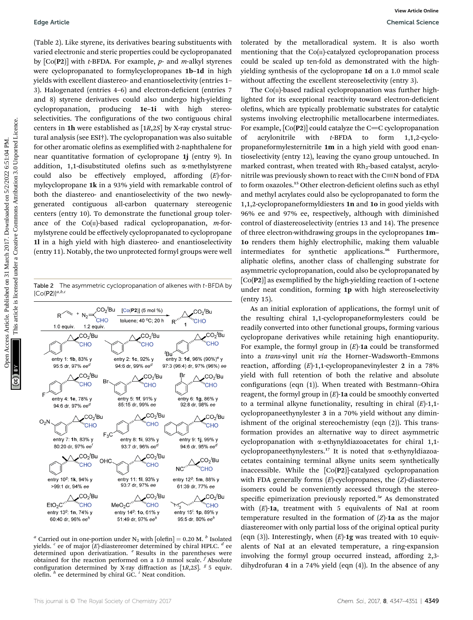(Table 2). Like styrene, its derivatives bearing substituents with varied electronic and steric properties could be cyclopropanated by  $[Co(P2)]$  with *t*-BFDA. For example, *p*- and *m*-alkyl styrenes were cyclopropanated to formylcyclopropanes 1b–1d in high yields with excellent diastereo- and enantioselectivity (entries 1– 3). Halogenated (entries 4-6) and electron-deficient (entries 7 and 8) styrene derivatives could also undergo high-yielding cyclopropanation, producing 1e–1i with high stereoselectivities. The configurations of the two contiguous chiral centers in 1h were established as [1R,2S] by X-ray crystal structural analysis (see ESI†). The cyclopropanation was also suitable for other aromatic olefins as exemplified with 2-naphthalene for near quantitative formation of cyclopropane 1j (entry 9). In addition, 1,1-disubstituted olefins such as  $\alpha$ -methylstyrene could also be effectively employed, affording  $(E)$ -formylcyclopropane 1k in a 93% yield with remarkable control of both the diastereo- and enantioselectivity of the two newlygenerated contiguous all-carbon quaternary stereogenic centers (entry 10). To demonstrate the functional group tolerance of the  $Co(n)$ -based radical cyclopropanation, *m*-formylstyrene could be effectively cyclopropanated to cyclopropane 1l in a high yield with high diastereo- and enantioselectivity (entry 11). Notably, the two unprotected formyl groups were well Equis Article.<br>
This is given by complete control to complete control to the proposed metric on 31 March 2017. The common article is like the state of the common article is like the common article in the state of the comm

Table 2 The asymmetric cyclopropanation of alkenes with t-BFDA by  $[Co(P2)]^{a,b,c}$ 



<sup>*a*</sup> Carried out in one-portion under N<sub>2</sub> with [olefin] = 0.20 M. <sup>*b*</sup> Isolated yields.  $c$  ee of major  $(E)$ -diastereomer determined by chiral HPLC.  $d$  ee determined upon derivatization.  $e$  Results in the parentheses were obtained for the reaction performed on a 1.0 mmol scale.  $f$  Absolute configuration determined by X-ray diffraction as [1R,2S].  $g$  5 equiv. olefin.  $h$  ee determined by chiral GC.  $i$  Neat condition.

tolerated by the metalloradical system. It is also worth mentioning that the  $Co(n)$ -catalyzed cyclopropanation process could be scaled up ten-fold as demonstrated with the highyielding synthesis of the cyclopropane 1d on a 1.0 mmol scale without affecting the excellent stereoselectivity (entry 3).

The  $Co(n)$ -based radical cyclopropanation was further highlighted for its exceptional reactivity toward electron-deficient olefins, which are typically problematic substrates for catalytic systems involving electrophilic metallocarbene intermediates. For example,  $[Co(P2)]$  could catalyze the C=C cyclopropanation of acrylonitrile with t-BFDA to form 1,1,2-cyclopropaneformylesternitrile 1m in a high yield with good enantioselectivity (entry 12), leaving the cyano group untouched. In marked contrast, when treated with  $Rh_2$ -based catalyst, acrylonitrile was previously shown to react with the  $C\equiv N$  bond of FDA to form oxazoles.<sup>15</sup> Other electron-deficient olefins such as ethyl and methyl acrylates could also be cyclopropanated to form the 1,1,2-cyclopropaneformyldiesters 1n and 1o in good yields with 96% ee and 97% ee, respectively, although with diminished control of diastereoselectivity (entries 13 and 14). The presence of three electron-withdrawing groups in the cyclopropanes 1m– 1o renders them highly electrophilic, making them valuable intermediates for synthetic applications.<sup>16</sup> Furthermore, aliphatic olefins, another class of challenging substrate for asymmetric cyclopropanation, could also be cyclopropanated by  $[Co(P2)]$  as exemplified by the high-yielding reaction of 1-octene under neat condition, forming 1p with high stereoselectivity (entry 15).

As an initial exploration of applications, the formyl unit of the resulting chiral 1,1-cyclopropaneformylesters could be readily converted into other functional groups, forming various cyclopropane derivatives while retaining high enantiopurity. For example, the formyl group in  $(E)$ -1a could be transformed into a trans-vinyl unit via the Horner–Wadsworth–Emmons reaction, affording  $(E)$ -1,1-cyclopropanevinylester 2 in a 78% yield with full retention of both the relative and absolute configurations (eqn  $(1)$ ). When treated with Bestmann-Ohira reagent, the formyl group in  $(E)$ -1a could be smoothly converted to a terminal alkyne functionality, resulting in chiral  $(E)$ -1,1cyclopropaneethynylester 3 in a 70% yield without any diminishment of the original stereochemistry (eqn (2)). This transformation provides an alternative way to direct asymmetric cyclopropanation with a-ethynyldiazoacetates for chiral 1,1 cyclopropaneethynylesters.<sup>17</sup> It is noted that  $\alpha$ -ethynyldiazoacetates containing terminal alkyne units seem synthetically inaccessible. While the [Co(P2)]-catalyzed cyclopropanation with FDA generally forms  $(E)$ -cyclopropanes, the  $(Z)$ -diastereoisomers could be conveniently accessed through the stereospecific epimerization previously reported.<sup>5e</sup> As demonstrated with  $(E)$ -1a, treatment with 5 equivalents of NaI at room temperature resulted in the formation of  $(Z)$ -1a as the major diastereomer with only partial loss of the original optical purity (eqn (3)). Interestingly, when  $(E)$ -1g was treated with 10 equivalents of NaI at an elevated temperature, a ring-expansion involving the formyl group occurred instead, affording 2,3 dihydrofuran 4 in a 74% yield (eqn (4)). In the absence of any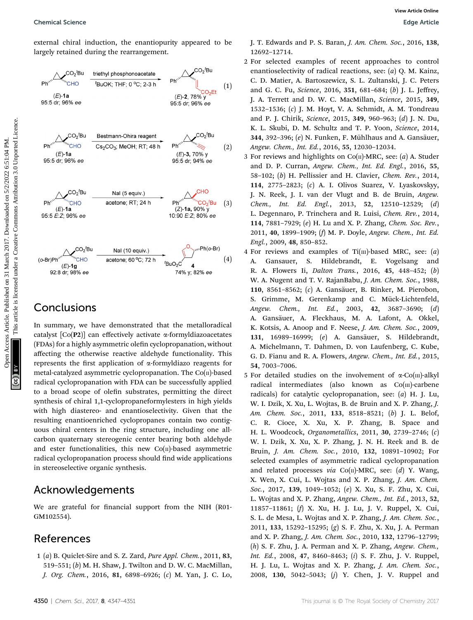Chemical Science Edge Article

external chiral induction, the enantiopurity appeared to be largely retained during the rearrangement.



#### Conclusions

In summary, we have demonstrated that the metalloradical catalyst  $[Co(P2)]$  can effectively activate  $\alpha$ -formyldiazoacetates (FDAs) for a highly asymmetric olefin cyclopropanation, without affecting the otherwise reactive aldehyde functionality. This represents the first application of  $\alpha$ -formyldiazo reagents for metal-catalyzed asymmetric cyclopropanation. The  $Co(n)$ -based radical cyclopropanation with FDA can be successfully applied to a broad scope of olefin substrates, permitting the direct synthesis of chiral 1,1-cyclopropaneformylesters in high yields with high diastereo- and enantioselectivity. Given that the resulting enantioenriched cyclopropanes contain two contiguous chiral centers in the ring structure, including one allcarbon quaternary stereogenic center bearing both aldehyde and ester functionalities, this new  $Co(n)$ -based asymmetric radical cyclopropanation process should find wide applications in stereoselective organic synthesis.

### Acknowledgements

We are grateful for financial support from the NIH (R01-GM102554).

## References

1 (a) B. Quiclet-Sire and S. Z. Zard, Pure Appl. Chem., 2011, 83, 519–551; (b) M. H. Shaw, J. Twilton and D. W. C. MacMillan, J. Org. Chem., 2016, 81, 6898–6926; (c) M. Yan, J. C. Lo,

- 2 For selected examples of recent approaches to control enantioselectivity of radical reactions, see: (a) Q. M. Kainz, C. D. Matier, A. Bartoszewicz, S. L. Zultanski, J. C. Peters and G. C. Fu, Science, 2016, 351, 681–684; (b) J. L. Jeffrey, J. A. Terrett and D. W. C. MacMillan, Science, 2015, 349, 1532–1536; (c) J. M. Hoyt, V. A. Schmidt, A. M. Tondreau and P. J. Chirik, Science, 2015, 349, 960–963; (d) J. N. Du, K. L. Skubi, D. M. Schultz and T. P. Yoon, Science, 2014, 344, 392–396;  $(e)$  N. Funken, F. Mühlhaus and A. Gansäuer, Angew. Chem., Int. Ed., 2016, 55, 12030–12034.
- 3 For reviews and highlights on  $Co(n)$ -MRC, see: (*a*) A. Studer and D. P. Curran, Angew. Chem., Int. Ed. Engl., 2016, 55, 58–102; (b) H. Pellissier and H. Clavier, Chem. Rev., 2014, 114, 2775–2823; (c) A. I. Olivos Suarez, V. Lyaskovskyy, J. N. Reek, J. I. van der Vlugt and B. de Bruin, Angew. Chem., Int. Ed. Engl., 2013, 52, 12510–12529; (d) L. Degennaro, P. Trinchera and R. Luisi, Chem. Rev., 2014, 114, 7881–7929; (e) H. Lu and X. P. Zhang, Chem. Soc. Rev., 2011, 40, 1899–1909; (f) M. P. Doyle, Angew. Chem., Int. Ed. Engl., 2009, 48, 850–852.
- 4 For reviews and examples of  $Ti(m)$ -based MRC, see:  $(a)$ A. Gansauer, S. Hildebrandt, E. Vogelsang and R. A. Flowers Ii, Dalton Trans., 2016, 45, 448–452; (b) W. A. Nugent and T. V. RajanBabu, J. Am. Chem. Soc., 1988, 110, 8561-8562; (c) A. Gansäuer, B. Rinker, M. Pierobon, S. Grimme, M. Gerenkamp and C. Mück-Lichtenfeld, Angew. Chem., Int. Ed., 2003, 42, 3687–3690; (d) A. Gansäuer, A. Fleckhaus, M. A. Lafont, A. Okkel, K. Kotsis, A. Anoop and F. Neese, J. Am. Chem. Soc., 2009, 131, 16989-16999; (e) A. Gansäuer, S. Hildebrandt, A. Michelmann, T. Dahmen, D. von Laufenberg, C. Kube, G. D. Fianu and R. A. Flowers, Angew. Chem., Int. Ed., 2015, 54, 7003–7006.
- 5 For detailed studies on the involvement of  $\alpha$ -Co(III)-alkyl radical intermediates (also known as Co(III)-carbene radicals) for catalytic cyclopropanation, see:  $(a)$  H. J. Lu, W. I. Dzik, X. Xu, L. Wojtas, B. de Bruin and X. P. Zhang, J. Am. Chem. Soc., 2011, 133, 8518-8521; (b) J. L. Belof, C. R. Cioce, X. Xu, X. P. Zhang, B. Space and H. L. Woodcock, Organometallics, 2011, 30, 2739–2746; (c) W. I. Dzik, X. Xu, X. P. Zhang, J. N. H. Reek and B. de Bruin, J. Am. Chem. Soc., 2010, 132, 10891–10902; For selected examples of asymmetric radical cyclopropanation and related processes via Co( $\pi$ )-MRC, see: (d) Y. Wang, X. Wen, X. Cui, L. Wojtas and X. P. Zhang, J. Am. Chem. Soc., 2017, 139, 1049–1052; (e) X. Xu, S. F. Zhu, X. Cui, L. Wojtas and X. P. Zhang, Angew. Chem., Int. Ed., 2013, 52, 11857–11861; (f) X. Xu, H. J. Lu, J. V. Ruppel, X. Cui, S. L. de Mesa, L. Wojtas and X. P. Zhang, J. Am. Chem. Soc., 2011, 133, 15292–15295; (g) S. F. Zhu, X. Xu, J. A. Perman and X. P. Zhang, J. Am. Chem. Soc., 2010, 132, 12796–12799; (h) S. F. Zhu, J. A. Perman and X. P. Zhang, Angew. Chem., Int. Ed., 2008, 47, 8460–8463; (i) S. F. Zhu, J. V. Ruppel, H. J. Lu, L. Wojtas and X. P. Zhang, J. Am. Chem. Soc., 2008, 130, 5042–5043; (j) Y. Chen, J. V. Ruppel and